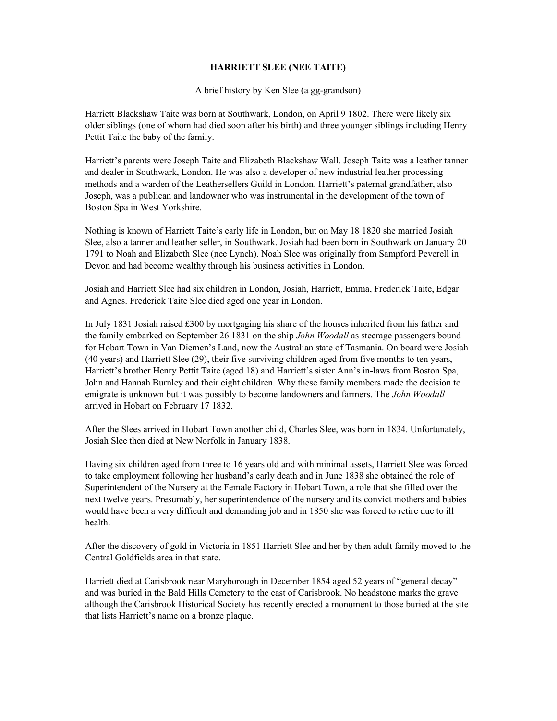## HARRIETT SLEE (NEE TAITE)

A brief history by Ken Slee (a gg-grandson)

Harriett Blackshaw Taite was born at Southwark, London, on April 9 1802. There were likely six older siblings (one of whom had died soon after his birth) and three younger siblings including Henry Pettit Taite the baby of the family.

Harriett's parents were Joseph Taite and Elizabeth Blackshaw Wall. Joseph Taite was a leather tanner and dealer in Southwark, London. He was also a developer of new industrial leather processing methods and a warden of the Leathersellers Guild in London. Harriett's paternal grandfather, also Joseph, was a publican and landowner who was instrumental in the development of the town of Boston Spa in West Yorkshire.

Nothing is known of Harriett Taite's early life in London, but on May 18 1820 she married Josiah Slee, also a tanner and leather seller, in Southwark. Josiah had been born in Southwark on January 20 1791 to Noah and Elizabeth Slee (nee Lynch). Noah Slee was originally from Sampford Peverell in Devon and had become wealthy through his business activities in London.

Josiah and Harriett Slee had six children in London, Josiah, Harriett, Emma, Frederick Taite, Edgar and Agnes. Frederick Taite Slee died aged one year in London.

In July 1831 Josiah raised £300 by mortgaging his share of the houses inherited from his father and the family embarked on September 26 1831 on the ship John Woodall as steerage passengers bound for Hobart Town in Van Diemen's Land, now the Australian state of Tasmania. On board were Josiah (40 years) and Harriett Slee (29), their five surviving children aged from five months to ten years, Harriett's brother Henry Pettit Taite (aged 18) and Harriett's sister Ann's in-laws from Boston Spa, John and Hannah Burnley and their eight children. Why these family members made the decision to emigrate is unknown but it was possibly to become landowners and farmers. The *John Woodall* arrived in Hobart on February 17 1832.

After the Slees arrived in Hobart Town another child, Charles Slee, was born in 1834. Unfortunately, Josiah Slee then died at New Norfolk in January 1838.

Having six children aged from three to 16 years old and with minimal assets, Harriett Slee was forced to take employment following her husband's early death and in June 1838 she obtained the role of Superintendent of the Nursery at the Female Factory in Hobart Town, a role that she filled over the next twelve years. Presumably, her superintendence of the nursery and its convict mothers and babies would have been a very difficult and demanding job and in 1850 she was forced to retire due to ill health.

After the discovery of gold in Victoria in 1851 Harriett Slee and her by then adult family moved to the Central Goldfields area in that state.

Harriett died at Carisbrook near Maryborough in December 1854 aged 52 years of "general decay" and was buried in the Bald Hills Cemetery to the east of Carisbrook. No headstone marks the grave although the Carisbrook Historical Society has recently erected a monument to those buried at the site that lists Harriett's name on a bronze plaque.